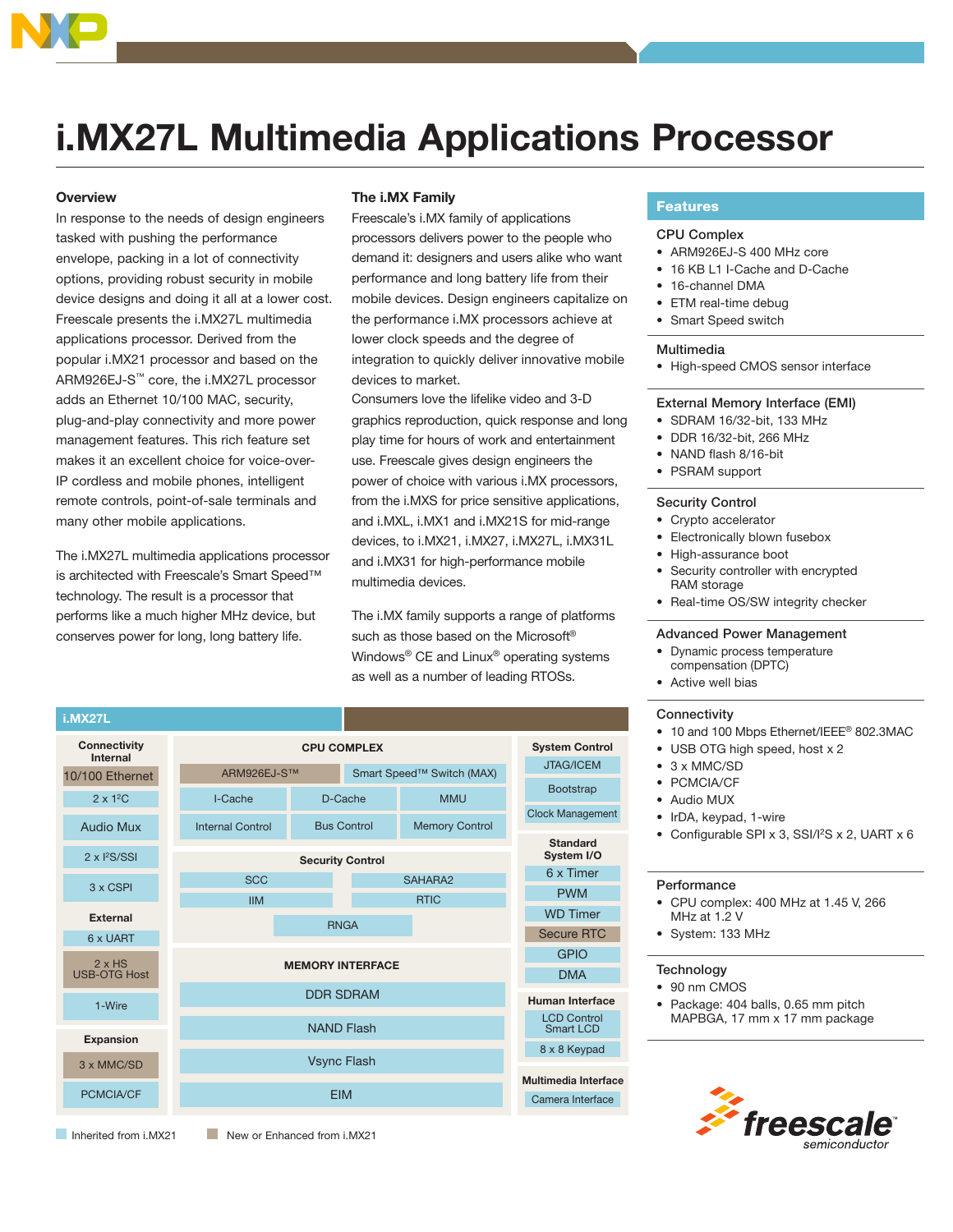

# **i.MX27L Multimedia Applications Processor**

## **Overview**

In response to the needs of design engineers tasked with pushing the performance envelope, packing in a lot of connectivity options, providing robust security in mobile device designs and doing it all at a lower cost. Freescale presents the i.MX27L multimedia applications processor. Derived from the popular i.MX21 processor and based on the ARM926EJ-S™ core, the i.MX27L processor adds an Ethernet 10/100 MAC, security, plug-and-play connectivity and more power management features. This rich feature set makes it an excellent choice for voice-over-IP cordless and mobile phones, intelligent remote controls, point-of-sale terminals and many other mobile applications.

The i.MX27L multimedia applications processor is architected with Freescale's Smart Speed™ technology. The result is a processor that performs like a much higher MHz device, but conserves power for long, long battery life.

# The i.MX Family

Freescale's i.MX family of applications processors delivers power to the people who demand it: designers and users alike who want performance and long battery life from their mobile devices. Design engineers capitalize on the performance i.MX processors achieve at lower clock speeds and the degree of integration to quickly deliver innovative mobile devices to market

Consumers love the lifelike video and 3-D graphics reproduction, quick response and long play time for hours of work and entertainment use. Freescale gives design engineers the power of choice with various i.MX processors, from the i.MXS for price sensitive applications, and i.MXL, i.MX1 and i.MX21S for mid-range devices, to i.MX21, i.MX27, i.MX27L, i.MX31L and i.MX31 for high-performance mobile multimedia devices.

The i.MX family supports a range of platforms such as those based on the Microsoft® Windows<sup>®</sup> CE and Linux<sup>®</sup> operating systems as well as a number of leading RTOSs.



# **Features**

# **CPU Complex**

- ARM926EJ-S 400 MHz core
- 16 KB L1 I-Cache and D-Cache
- 16-channel DMA
- ETM real-time debug
- Smart Speed switch

#### Multimedia

• High-speed CMOS sensor interface

#### External Memory Interface (EMI)

- SDRAM 16/32-bit, 133 MHz
- DDR 16/32-bit, 266 MHz
- NAND flash 8/16-bit
- PSRAM support

#### **Security Control**

- Crypto accelerator
- Electronically blown fusebox
- High-assurance boot
- Security controller with encrypted RAM storage
- Real-time OS/SW integrity checker

### **Advanced Power Management**

- Dynamic process temperature compensation (DPTC)
- Active well bias

#### Connectivity

- 10 and 100 Mbps Ethernet/IEEE® 802.3MAC
- USB OTG high speed, host x 2
- $\bullet$  3 x MMC/SD
- PCMCIA/CF
- Audio MUX
- IrDA, keypad, 1-wire
- Configurable SPI x 3, SSI/I<sup>2</sup>S x 2, UART x 6

#### Performance

- CPU complex: 400 MHz at 1.45 V, 266 MHz at 1.2 V
- System: 133 MHz

#### Technology

- 90 nm CMOS
- Package: 404 balls, 0.65 mm pitch MAPBGA, 17 mm x 17 mm package



Inherited from i MY21

New or Enhanced from i.MX21